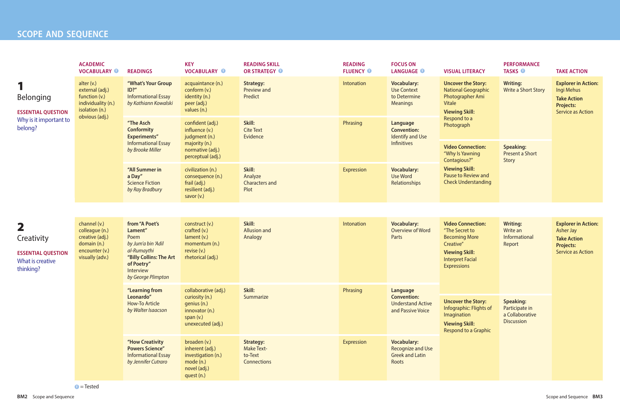### **SCOPE AND SEQUENCE**

**PERFORMANCE TASKS is a TAKE ACTION** 

#### **LANGUAGE <sup>T</sup> VISUAL LITERACY**

**Uncover the Story:**  National Geographic Photographer Ami **Vitale Viewing Skill:**  Respond to a Photograph **Writing:** Write a Short Story **Explorer in Action:**  Ingi Mehus **Take Action Projects:**  Service as Action **Video Connection:** "Why Is Yawning Contagious?" **Viewing Skill:** Pause to Review and Check Understanding **Speaking:** Present a Short Story

> **Speaking:** Participate in a Collaborative **Discussion**

Jse

|                                                                                    | <b>ACADEMIC</b><br><b>VOCABULARY O</b>                                                                     | <b>READINGS</b>                                                                                                                                    | <b>KEY</b><br><b>VOCABULARY O</b>                                                                             | <b>READING SKILL</b><br>OR STRATEGY O                                  | <b>READING</b><br><b>FLUENCY O</b> | <b>FOCUS ON</b><br><b>LANGUAGE O</b>                                              |
|------------------------------------------------------------------------------------|------------------------------------------------------------------------------------------------------------|----------------------------------------------------------------------------------------------------------------------------------------------------|---------------------------------------------------------------------------------------------------------------|------------------------------------------------------------------------|------------------------------------|-----------------------------------------------------------------------------------|
| <b>Belonging</b><br><b>ESSENTIAL QUESTION</b><br>Why is it important to<br>belong? | alter $(v.)$<br>external (adj.)<br>function (v.)<br>individuality (n.)<br>isolation (n.)<br>obvious (adj.) | "What's Your Group<br>ID?"<br><b>Informational Essay</b><br>by Kathiann Kowalski                                                                   | acquaintance (n.)<br>conform (v.)<br>identity (n.)<br>peer (adj.)<br>values (n.)                              | <b>Strategy:</b><br><b>Preview and</b><br>Predict                      | Intonation                         | <b>Vocabulary:</b><br><b>Use Context</b><br>to Determine<br><b>Meanings</b>       |
|                                                                                    |                                                                                                            | "The Asch<br><b>Conformity</b><br><b>Experiments"</b><br><b>Informational Essay</b><br>by Brooke Miller                                            | confident (adj.)<br>influence (v.)<br>judgment (n.)<br>majority (n.)<br>normative (adj.)<br>perceptual (adj.) | Skill:<br><b>Cite Text</b><br>Evidence                                 | Phrasing                           | Language<br><b>Convention:</b><br><b>Identify and Use</b><br><b>Infinitives</b>   |
|                                                                                    |                                                                                                            | "All Summer in<br>a Day"<br><b>Science Fiction</b><br>by Ray Bradbury                                                                              | civilization (n.)<br>consequence (n.)<br>frail (adj.)<br>resilient (adj.)<br>savor $(v.)$                     | Skill:<br>Analyze<br><b>Characters and</b><br>Plot                     | <b>Expression</b>                  | <b>Vocabulary:</b><br><b>Use Word</b><br>Relationships                            |
|                                                                                    |                                                                                                            |                                                                                                                                                    |                                                                                                               |                                                                        |                                    |                                                                                   |
| 2<br>Creativity<br><b>ESSENTIAL QUESTION</b><br>What is creative<br>thinking?      | channel (v.)<br>colleague (n.)<br>creative (adj.)<br>domain (n.)<br>encounter (v.)<br>visually (adv.)      | from "A Poet's<br>Lament"<br>Poem<br>by Jum'a bin 'Adil<br>al-Rumaythi<br>"Billy Collins: The Art<br>of Poetry"<br>Interview<br>by George Plimpton | construct (v.)<br>crafted (v.)<br>lament (v.)<br>momentum (n.)<br>revise (v.)<br>rhetorical (adj.)            | Skill:<br><b>Allusion and</b><br>Analogy                               | Intonation                         | <b>Vocabulary:</b><br>Overview of Word<br>Parts                                   |
|                                                                                    |                                                                                                            | "Learning from<br>Leonardo"<br><b>How-To Article</b><br>by Walter Isaacson                                                                         | collaborative (adj.)<br>curiosity (n.)<br>genius (n.)<br>innovator (n.)<br>span $(v.)$<br>unexecuted (adj.)   | Skill:<br>Summarize                                                    | Phrasing                           | Language<br><b>Convention:</b><br><b>Understand Active</b><br>and Passive Voice   |
|                                                                                    |                                                                                                            | "How Creativity<br><b>Powers Science"</b><br><b>Informational Essay</b><br>by Jennifer Cutraro                                                     | broaden (v.)<br>inherent (adj.)<br>investigation (n.)<br>mode (n.)<br>novel (adj.)<br>quest (n.)              | <b>Strategy:</b><br><b>Make Text-</b><br>to-Text<br><b>Connections</b> | <b>Expression</b>                  | <b>Vocabulary:</b><br><b>Recognize and Use</b><br><b>Greek and Latin</b><br>Roots |

 $\bullet$  = Tested

**Video Connection:** "The Secret to Becoming More Creative"

**Viewing Skill:**  Interpret Facial Expressions

**Writing:** Write an Informational Report

**Explorer in Action:**  Asher Jay **Take Action Projects:**  Service as Action

**Uncover the Story:**  Infographic: Flights of Imagination

**Viewing Skill:**  Respond to a Graphic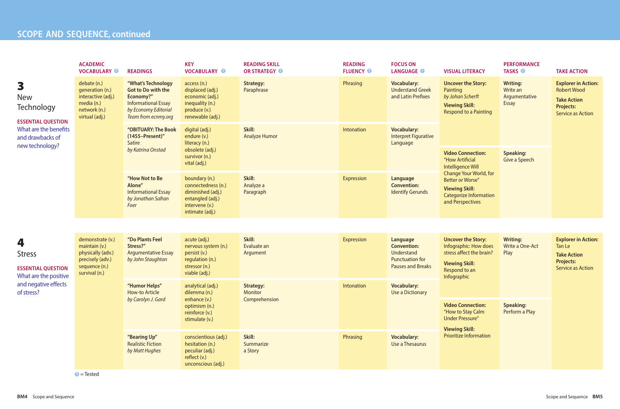|                                                                                                                            | <b>ACADEMIC</b><br><b>VOCABULARY O</b>                                                                       | <b>READINGS</b>                                                                                                                           | <b>KEY</b><br><b>VOCABULARY O</b>                                                                                 | <b>READING SKILL</b><br>OR STRATEGY O | <b>READING</b><br><b>FLUENCY O</b>            | <b>FOCUS ON</b><br><b>LANGUAGE O</b>                                                               | <b>VISUAL LITERACY</b>                                                                                                                                                                                     | <b>PERFORMANCE</b><br><b>TASKS O</b>                         | <b>TAKE ACTION</b>                                                                                                     |
|----------------------------------------------------------------------------------------------------------------------------|--------------------------------------------------------------------------------------------------------------|-------------------------------------------------------------------------------------------------------------------------------------------|-------------------------------------------------------------------------------------------------------------------|---------------------------------------|-----------------------------------------------|----------------------------------------------------------------------------------------------------|------------------------------------------------------------------------------------------------------------------------------------------------------------------------------------------------------------|--------------------------------------------------------------|------------------------------------------------------------------------------------------------------------------------|
| 3<br><b>New</b><br>Technology<br><b>ESSENTIAL QUESTION</b><br>What are the benefits<br>and drawbacks of<br>new technology? | debate (n.)<br>generation (n.)<br>interactive (adj.)<br>media (n.)<br>network (n.)<br>virtual (adj.)         | "What's Technology<br><b>Got to Do with the</b><br>Economy?"<br><b>Informational Essay</b><br>by Economy Editorial<br>Team from ecnmy.org | access(n)<br>displaced (adj.)<br>economic (adj.)<br>inequality (n.)<br>produce (v.)<br>renewable (adj.)           | <b>Strategy:</b><br>Paraphrase        | Phrasing                                      | <b>Vocabulary:</b><br><b>Understand Greek</b><br>and Latin Prefixes                                | <b>Uncover the Story:</b><br>Painting<br>by Johan Scherft<br><b>Viewing Skill:</b><br><b>Respond to a Painting</b>                                                                                         | <b>Writing:</b><br>Write an<br>Argumentative<br><b>Essay</b> | <b>Explorer in Action:</b><br><b>Robert Wood</b><br><b>Take Action</b><br><b>Projects:</b><br><b>Service as Action</b> |
|                                                                                                                            |                                                                                                              | "OBITUARY: The Book<br>(1455-Present)"<br>Satire                                                                                          | digital (adj.)<br>endure (v.)<br>literacy (n.)                                                                    | Skill:<br><b>Analyze Humor</b>        | Intonation                                    | <b>Vocabulary:</b><br><b>Interpret Figurative</b><br>Language                                      |                                                                                                                                                                                                            |                                                              |                                                                                                                        |
|                                                                                                                            |                                                                                                              | by Katrina Onstad<br>obsolete (adj.)<br>survivor (n.)<br>vital (adj.)                                                                     |                                                                                                                   |                                       |                                               |                                                                                                    | <b>Video Connection:</b><br>"How Artificial<br>Intelligence Will<br><b>Change Your World, for</b><br><b>Better or Worse"</b><br><b>Viewing Skill:</b><br><b>Categorize Information</b><br>and Perspectives | <b>Speaking:</b><br>Give a Speech                            |                                                                                                                        |
|                                                                                                                            |                                                                                                              | "How Not to Be<br>Alone"<br><b>Informational Essay</b><br>by Jonathan Safran<br>Foer                                                      | boundary (n.)<br>connectedness (n.)<br>diminished (adj.)<br>entangled (adj.)<br>intervene (v.)<br>intimate (adj.) | Skill:<br>Analyze a<br>Paragraph      | <b>Expression</b>                             | Language<br><b>Convention:</b><br><b>Identify Gerunds</b>                                          |                                                                                                                                                                                                            |                                                              |                                                                                                                        |
|                                                                                                                            |                                                                                                              |                                                                                                                                           |                                                                                                                   |                                       |                                               |                                                                                                    |                                                                                                                                                                                                            |                                                              |                                                                                                                        |
| 4<br><b>Stress</b><br><b>ESSENTIAL QUESTION</b><br>What are the positive<br>and negative effects<br>of stress?             | demonstrate (v.)<br>maintain (v.)<br>physically (adv.)<br>precisely (adv.)<br>sequence (n.)<br>survival (n.) | "Do Plants Feel<br>Stress?"<br><b>Argumentative Essay</b><br>by John Staughton                                                            | acute (adj.)<br>nervous system (n.)<br>persist (v.)<br>regulation (n.)<br>stressor (n.)<br>viable (adj.)          | Skill:<br>Evaluate an<br>Argument     | <b>Expression</b>                             | Language<br><b>Convention:</b><br>Understand<br><b>Punctuation for</b><br><b>Pauses and Breaks</b> | <b>Uncover the Story:</b><br>Infographic: How does<br>stress affect the brain?<br><b>Viewing Skill:</b><br>Respond to an<br>Infographic                                                                    | <b>Writing:</b><br>Write a One-Act<br>Play                   | <b>Explorer in Action:</b><br>Tan Le<br><b>Take Action</b><br><b>Projects:</b><br><b>Service as Action</b>             |
|                                                                                                                            |                                                                                                              | "Humor Helps"<br>analytical (adj.)<br><b>How-to Article</b><br>dilemma (n.)<br>by Carolyn J. Gard<br>enhance (v.)                         | <b>Strategy:</b><br>Monitor<br>Comprehension                                                                      | Intonation                            | <b>Vocabulary:</b><br><b>Use a Dictionary</b> |                                                                                                    |                                                                                                                                                                                                            |                                                              |                                                                                                                        |
|                                                                                                                            |                                                                                                              |                                                                                                                                           | optimism (n.)<br>reinforce (v.)<br>stimulate (v.)                                                                 |                                       |                                               |                                                                                                    | <b>Video Connection:</b><br>"How to Stay Calm<br>Under Pressure"<br><b>Viewing Skill:</b>                                                                                                                  | <b>Speaking:</b><br>Perform a Play                           |                                                                                                                        |
|                                                                                                                            |                                                                                                              | "Bearing Up"<br><b>Realistic Fiction</b><br>by Matt Hughes                                                                                | conscientious (adj.)<br>hesitation (n.)<br>peculiar (adj.)<br>reflect (v.)<br>unconscious (adj.)                  | Skill:<br>Summarize<br>a Story        | Phrasing                                      | <b>Vocabulary:</b><br>Use a Thesaurus                                                              | <b>Prioritize Information</b>                                                                                                                                                                              |                                                              |                                                                                                                        |

 $\bullet$  = Tested

### **BM4** Scope and Sequence **BM5**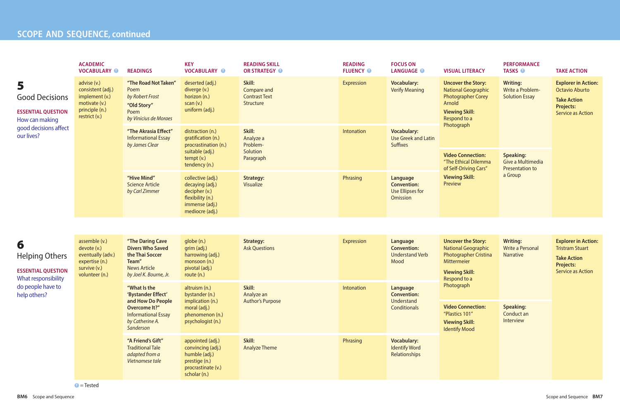### **PERFORMANCE**

**BM6** Scope and Sequence **BM7** 

| <b>LANGUAGE O</b>                                                                   | <b>VISUAL LITERACY</b>                                                                                                                                 | <b>TASKS O</b>                                                      | <b>TAKE ACTION</b>                                                                                                         |  |  |
|-------------------------------------------------------------------------------------|--------------------------------------------------------------------------------------------------------------------------------------------------------|---------------------------------------------------------------------|----------------------------------------------------------------------------------------------------------------------------|--|--|
| <b>Vocabulary:</b><br><b>Verify Meaning</b>                                         | <b>Uncover the Story:</b><br><b>National Geographic</b><br><b>Photographer Corey</b><br>Arnold<br><b>Viewing Skill:</b><br>Respond to a<br>Photograph  | <b>Writing:</b><br><b>Write a Problem-</b><br><b>Solution Essay</b> | <b>Explorer in Action:</b><br><b>Octavio Aburto</b><br><b>Take Action</b><br><b>Projects:</b><br><b>Service as Action</b>  |  |  |
| <b>Vocabulary:</b><br><b>Use Greek and Latin</b><br><b>Suffixes</b>                 |                                                                                                                                                        |                                                                     |                                                                                                                            |  |  |
|                                                                                     | <b>Video Connection:</b><br>"The Ethical Dilemma<br>of Self-Driving Cars"                                                                              | <b>Speaking:</b><br>Give a Multimedia<br><b>Presentation to</b>     |                                                                                                                            |  |  |
| <b>Language</b><br><b>Convention:</b><br><b>Use Ellipses for</b><br><b>Omission</b> | <b>Viewing Skill:</b><br>Preview                                                                                                                       | a Group                                                             |                                                                                                                            |  |  |
|                                                                                     |                                                                                                                                                        |                                                                     |                                                                                                                            |  |  |
| <b>Language</b><br><b>Convention:</b><br><b>Understand Verb</b><br>Mood             | <b>Uncover the Story:</b><br><b>National Geographic</b><br><b>Photographer Cristina</b><br><b>Mittermeier</b><br><b>Viewing Skill:</b><br>Respond to a | <b>Writing:</b><br><b>Write a Personal</b><br><b>Narrative</b>      | <b>Explorer in Action:</b><br><b>Tristram Stuart</b><br><b>Take Action</b><br><b>Projects:</b><br><b>Service as Action</b> |  |  |
| Language<br><b>Convention:</b><br><b>Understand</b>                                 | Photograph                                                                                                                                             |                                                                     |                                                                                                                            |  |  |
| <b>Conditionals</b>                                                                 | <b>Video Connection:</b><br>"Plastics 101"<br><b>Viewing Skill:</b><br><b>Identify Mood</b>                                                            | <b>Speaking:</b><br>Conduct an<br>Interview                         |                                                                                                                            |  |  |
| <b>Vocabulary:</b><br><b>Identify Word</b><br><b>Relationships</b>                  |                                                                                                                                                        |                                                                     |                                                                                                                            |  |  |

## **PARTICLE SCOPE** AND **SEQUENCE**, continued

|                                                                                                                  | <b>ACADEMIC</b><br><b>VOCABULARY O</b>                                                                 | <b>READINGS</b>                                                                                 | <b>KEY</b><br><b>VOCABULARY O</b>                                                                              | <b>READING SKILL</b><br>OR STRATEGY O                      | <b>READING</b><br><b>FLUENCY O</b> | <b>FOCUS ON</b><br><b>LANGUAGE O</b>                                | <b>VISUAL LITERACY</b>                                                                                                                  | <b>PERFOR</b><br><b>TASKS</b>         |  |
|------------------------------------------------------------------------------------------------------------------|--------------------------------------------------------------------------------------------------------|-------------------------------------------------------------------------------------------------|----------------------------------------------------------------------------------------------------------------|------------------------------------------------------------|------------------------------------|---------------------------------------------------------------------|-----------------------------------------------------------------------------------------------------------------------------------------|---------------------------------------|--|
| 5<br><b>Good Decisions</b><br><b>ESSENTIAL QUESTION</b><br>How can making<br>good decisions affect<br>our lives? | advise (v.)<br>consistent (adj.)<br>implement (v.)<br>motivate (v.)<br>principle (n.)<br>restrict (v.) | "The Road Not Taken"<br>Poem<br>by Robert Frost<br>"Old Story"<br>Poem<br>by Vinicius de Moraes | deserted (adj.)<br>diverge (v.)<br>horizon (n.)<br>scan(v.)<br>uniform (adj.)                                  | Skill:<br>Compare and<br><b>Contrast Text</b><br>Structure | <b>Expression</b>                  | <b>Vocabulary:</b><br><b>Verify Meaning</b>                         | <b>Uncover the Story:</b><br><b>National Geographic</b><br><b>Photographer Corey</b><br>Arnold<br><b>Viewing Skill:</b><br>Respond to a | <b>Writing</b><br>Write a<br>Solutior |  |
|                                                                                                                  |                                                                                                        | "The Akrasia Effect"<br><b>Informational Essay</b><br>by James Clear                            | distraction (n.)<br>gratification (n.)<br>procrastination (n.)                                                 | Skill:<br>Analyze a<br>Problem-                            | Intonation                         | <b>Vocabulary:</b><br><b>Use Greek and Latin</b><br><b>Suffixes</b> | Photograph                                                                                                                              |                                       |  |
|                                                                                                                  |                                                                                                        |                                                                                                 | suitable (adj.)<br>tempt (v.)<br>tendency (n.)                                                                 | Solution<br>Paragraph                                      |                                    |                                                                     | <b>Video Connection:</b><br>"The Ethical Dilemma<br>of Self-Driving Cars"<br><b>Viewing Skill:</b><br>Preview                           | <b>Speakir</b><br>Give a N<br>Present |  |
|                                                                                                                  |                                                                                                        | "Hive Mind"<br><b>Science Article</b><br>by Carl Zimmer                                         | collective (adj.)<br>decaying (adj.)<br>decipher (v.)<br>flexibility (n.)<br>immense (adj.)<br>mediocre (adj.) | <b>Strategy:</b><br>Visualize                              | Phrasing                           | Language<br><b>Convention:</b><br>Use Ellipses for<br>Omission      |                                                                                                                                         | a Group                               |  |
|                                                                                                                  |                                                                                                        |                                                                                                 |                                                                                                                |                                                            |                                    |                                                                     |                                                                                                                                         |                                       |  |
| 6<br><b>Helping Others</b>                                                                                       | assemble (v.)<br>devote (v.)<br>eventually (adv.)<br>expertise (n.)                                    | "The Daring Cave<br><b>Divers Who Saved</b><br>the Thai Soccer<br>Team"                         | globe (n.)<br>grim (adj.)<br>harrowing (adj.)<br>monsoon (n.)                                                  | <b>Strategy:</b><br><b>Ask Questions</b>                   | <b>Expression</b>                  | Language<br><b>Convention:</b><br><b>Understand Verb</b><br>Mood    | <b>Uncover the Story:</b><br><b>National Geographic</b><br><b>Photographer Cristina</b><br>Mittermeier                                  | <b>Writing</b><br>Write a<br>Narrativ |  |
| <b>ESSENTIAL QUESTION</b><br>What responsibility<br>do people have to<br>help others?                            | survive (v.)<br>volunteer (n.)                                                                         |                                                                                                 | <b>News Article</b><br>by Joel K. Bourne, Jr.                                                                  | pivotal (adj.)<br>route (n.)                               |                                    |                                                                     |                                                                                                                                         | <b>Viewing Skill:</b><br>Respond to a |  |
|                                                                                                                  |                                                                                                        | "What Is the<br>'Bystander Effect'<br>and How Do People                                         | altruism (n.)<br>bystander (n.)<br>implication (n.)                                                            | Skill:<br>Analyze an<br><b>Author's Purpose</b>            | Intonation                         | Language<br><b>Convention:</b><br>Understand                        | Photograph                                                                                                                              |                                       |  |
|                                                                                                                  |                                                                                                        | <b>Overcome It?"</b><br><b>Informational Essay</b><br>by Catherine A.<br>Sanderson              | moral (adj.)<br>phenomenon (n.)<br>psychologist (n.)                                                           |                                                            |                                    | <b>Conditionals</b>                                                 | <b>Video Connection:</b><br>"Plastics 101"<br><b>Viewing Skill:</b><br><b>Identify Mood</b>                                             | <b>Speakir</b><br>Conduc<br>Intervie  |  |
|                                                                                                                  |                                                                                                        | "A Friend's Gift"<br><b>Traditional Tale</b><br>adapted from a<br>Vietnamese tale               | appointed (adj.)<br>convincing (adj.)<br>humble (adj.)<br>prestige (n.)<br>procrastinate (v.)<br>scholar (n.)  | Skill:<br><b>Analyze Theme</b>                             | Phrasing                           | <b>Vocabulary:</b><br><b>Identify Word</b><br>Relationships         |                                                                                                                                         |                                       |  |

**T** = Tested